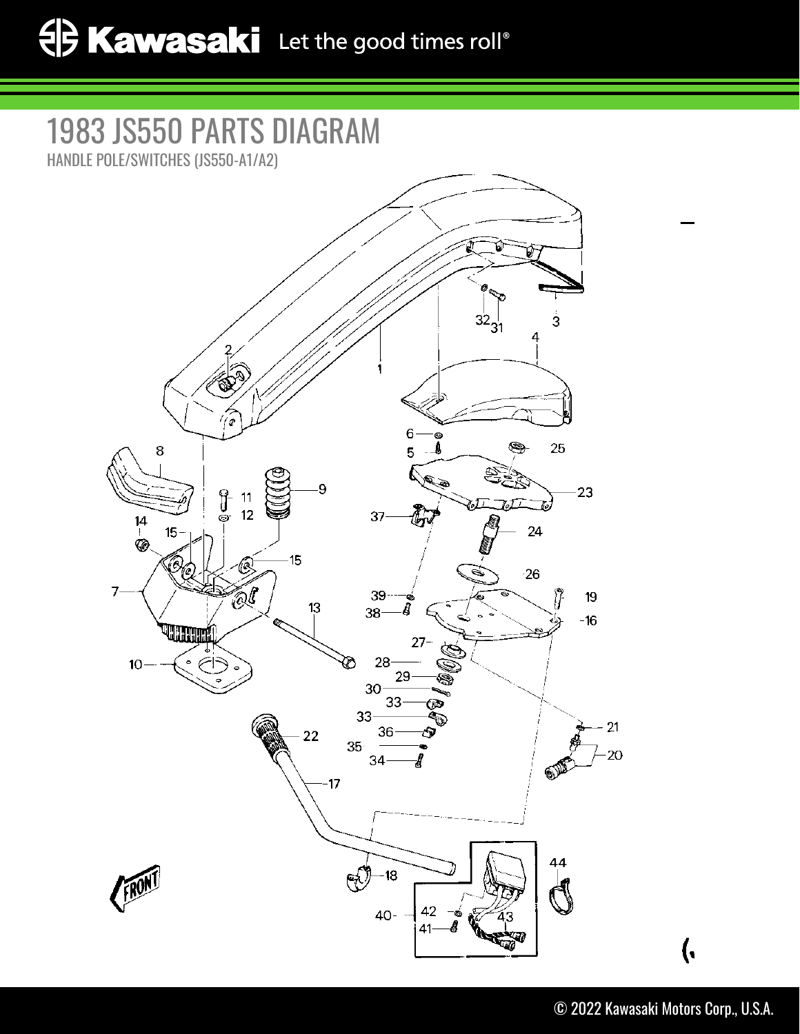## 1983 JS550 PARTS DIAGRAM

HANDLE POLE/SWITCHES (JS550-A1/A2)



 $\overline{(\cdot)}$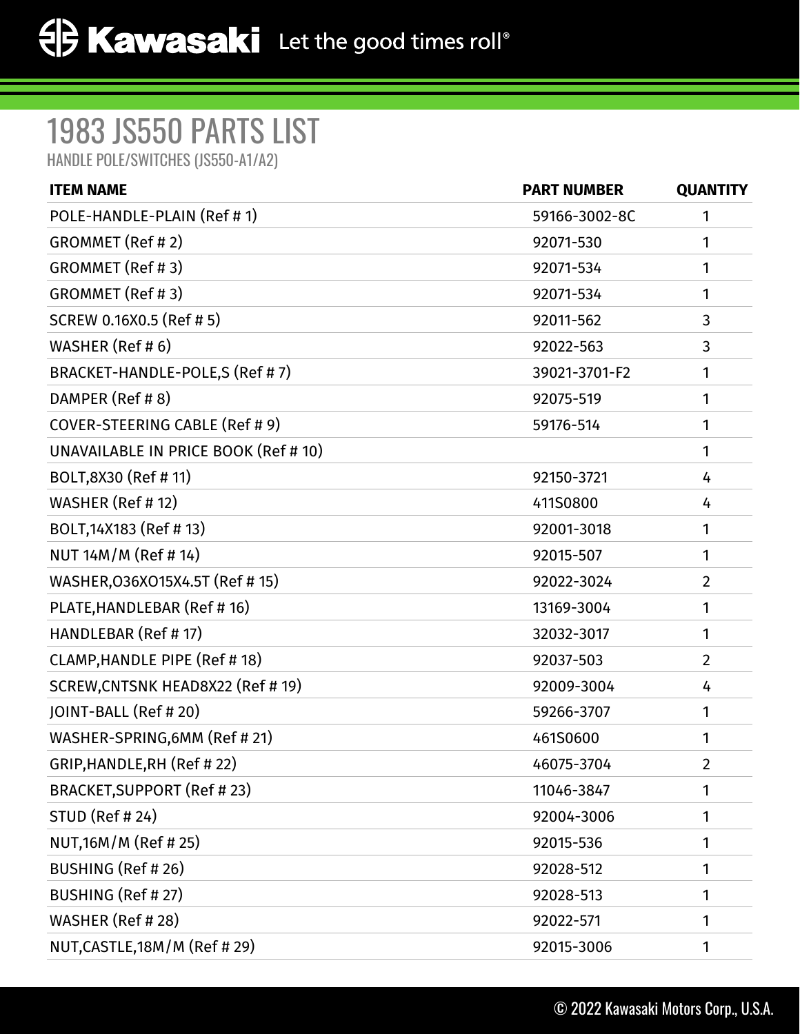## 1983 JS550 PARTS LIST

HANDLE POLE/SWITCHES (JS550-A1/A2)

| <b>ITEM NAME</b>                     | <b>PART NUMBER</b> | <b>QUANTITY</b> |
|--------------------------------------|--------------------|-----------------|
| POLE-HANDLE-PLAIN (Ref #1)           | 59166-3002-8C      | 1               |
| GROMMET (Ref #2)                     | 92071-530          | 1               |
| GROMMET (Ref #3)                     | 92071-534          | 1               |
| GROMMET (Ref #3)                     | 92071-534          | 1               |
| SCREW 0.16X0.5 (Ref # 5)             | 92011-562          | 3               |
| WASHER (Ref # 6)                     | 92022-563          | 3               |
| BRACKET-HANDLE-POLE,S (Ref #7)       | 39021-3701-F2      | 1               |
| DAMPER (Ref # 8)                     | 92075-519          | 1               |
| COVER-STEERING CABLE (Ref # 9)       | 59176-514          | 1               |
| UNAVAILABLE IN PRICE BOOK (Ref # 10) |                    | 1               |
| BOLT,8X30 (Ref # 11)                 | 92150-3721         | 4               |
| WASHER (Ref # 12)                    | 411S0800           | 4               |
| BOLT, 14X183 (Ref #13)               | 92001-3018         | 1               |
| NUT 14M/M (Ref # 14)                 | 92015-507          | 1               |
| WASHER, 036X015X4.5T (Ref #15)       | 92022-3024         | $\overline{2}$  |
| PLATE, HANDLEBAR (Ref # 16)          | 13169-3004         | 1               |
| HANDLEBAR (Ref # 17)                 | 32032-3017         | 1               |
| CLAMP, HANDLE PIPE (Ref #18)         | 92037-503          | $\overline{2}$  |
| SCREW, CNTSNK HEAD8X22 (Ref # 19)    | 92009-3004         | 4               |
| JOINT-BALL (Ref # 20)                | 59266-3707         | 1               |
| WASHER-SPRING, 6MM (Ref # 21)        | 461S0600           | 1               |
| GRIP, HANDLE, RH (Ref #22)           | 46075-3704         | $\overline{2}$  |
| BRACKET, SUPPORT (Ref #23)           | 11046-3847         | 1               |
| STUD (Ref # 24)                      | 92004-3006         | 1               |
| NUT, 16M/M (Ref # 25)                | 92015-536          | 1               |
| BUSHING (Ref #26)                    | 92028-512          | 1               |
| BUSHING (Ref #27)                    | 92028-513          | 1               |
| WASHER (Ref # 28)                    | 92022-571          | 1               |
| NUT, CASTLE, 18M/M (Ref #29)         | 92015-3006         | 1               |